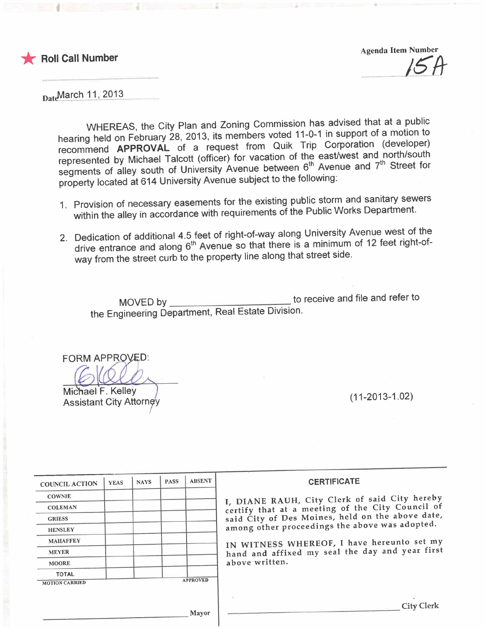

**F** Roll Call Number

Agenda Item Number  $15H$ 

DateMarch 11, 2013

WHEREAS, the City Plan and Zoning Commission has advised that at a public hearing held on February 28, 2013, its members voted 11-0-1 in support of a motion of recommend APPROVAL of a request from Quik Trip Corporation (developer)<br>represented by Michael Talcott (officer) for vacation of the east/west and north/south represented by Michael Talcott (officer) for vacation of the eastwest and northwest. segments of alley south of University Avenue between 6th Avenue and the Street for property located at 614 University Avenue subject to the following:

- 1. Provision of necessary easements for the existing public storm and sanitary sewers within the alley in accordance with requirements of the Public Works Department.
- 2. Dedication of additional 4.5 feet of right-of-way along University Avenue west of the drive entrance and along 6<sup>th</sup> Avenue so that there is a minimum of 12 feet right-ofway from the street curb to the property line along that street side.

MOVED by to receive and file and refer to the Engineering Department, Real Estate Division.

**FORM APPROVED:** 

Michael F. Kelley  $\frac{1}{2}$ <br>Assistant City Attorney

| <b>COUNCIL ACTION</b> | <b>YEAS</b> | <b>NAYS</b> | <b>PASS</b> | <b>ABSENT</b>   | <b>CERTIFICATE</b>                               |
|-----------------------|-------------|-------------|-------------|-----------------|--------------------------------------------------|
| <b>COWNIE</b>         |             |             |             |                 | I, DIANE RAUH, City Clerk of said City hereby    |
| <b>COLEMAN</b>        |             |             |             |                 | certify that at a meeting of the City Council of |
| <b>GRIESS</b>         |             |             |             |                 | said City of Des Moines, held on the above date, |
| <b>HENSLEY</b>        |             |             |             |                 | among other proceedings the above was adopted.   |
| <b>MAHAFFEY</b>       |             |             |             |                 | IN WITNESS WHEREOF, I have hereunto set my       |
| <b>MEYER</b>          |             |             |             |                 | hand and affixed my seal the day and year first  |
| <b>MOORE</b>          |             |             |             |                 | above written.                                   |
| <b>TOTAL</b>          |             |             |             |                 |                                                  |
| <b>MOTION CARRIED</b> |             |             |             | <b>APPROVED</b> |                                                  |
|                       |             |             |             |                 |                                                  |
|                       |             |             |             |                 | <b>City Clerk</b>                                |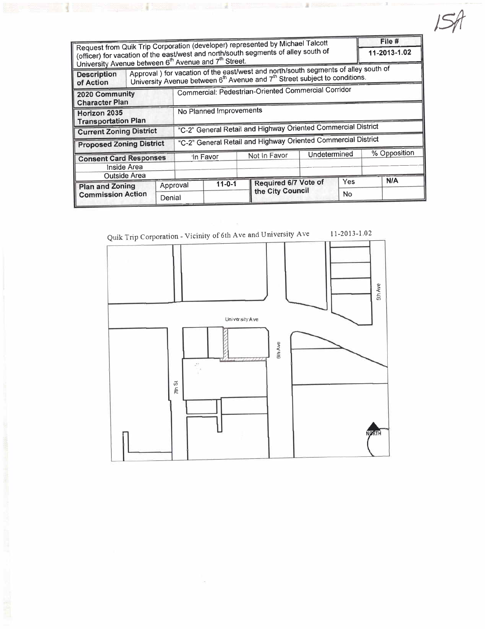| Request from Quik Trip Corporation (developer) represented by Michael Talcott                                                                                      |        |                                                                                                                                                                                           |              |                  |                      |              | File #       |  |
|--------------------------------------------------------------------------------------------------------------------------------------------------------------------|--------|-------------------------------------------------------------------------------------------------------------------------------------------------------------------------------------------|--------------|------------------|----------------------|--------------|--------------|--|
| (officer) for vacation of the east/west and north/south segments of alley south of<br>University Avenue between 6 <sup>th</sup> Avenue and 7 <sup>th</sup> Street. |        |                                                                                                                                                                                           |              |                  |                      | 11-2013-1.02 |              |  |
| <b>Description</b><br>of Action                                                                                                                                    |        | Approval ) for vacation of the east/west and north/south segments of alley south of<br>University Avenue between 6 <sup>th</sup> Avenue and 7 <sup>th</sup> Street subject to conditions. |              |                  |                      |              |              |  |
| 2020 Community<br><b>Character Plan</b>                                                                                                                            |        | Commercial: Pedestrian-Oriented Commercial Corridor                                                                                                                                       |              |                  |                      |              |              |  |
| Horizon 2035<br><b>Transportation Plan</b>                                                                                                                         |        | No Planned Improvements                                                                                                                                                                   |              |                  |                      |              |              |  |
| <b>Current Zoning District</b>                                                                                                                                     |        | "C-2" General Retail and Highway Oriented Commercial District                                                                                                                             |              |                  |                      |              |              |  |
| <b>Proposed Zoning District</b>                                                                                                                                    |        | "C-2" General Retail and Highway Oriented Commercial District                                                                                                                             |              |                  |                      |              |              |  |
| <b>Consent Card Responses</b><br>Inside Area                                                                                                                       |        | In Favor                                                                                                                                                                                  |              | Not In Favor     | Undetermined         |              | % Opposition |  |
| <b>Outside Area</b><br><b>Plan and Zoning</b>                                                                                                                      |        | Approval                                                                                                                                                                                  | $11 - 0 - 1$ |                  | Required 6/7 Vote of |              | N/A          |  |
| <b>Commission Action</b>                                                                                                                                           | Denial |                                                                                                                                                                                           |              | the City Council |                      | <b>No</b>    |              |  |



×.

 $\leq$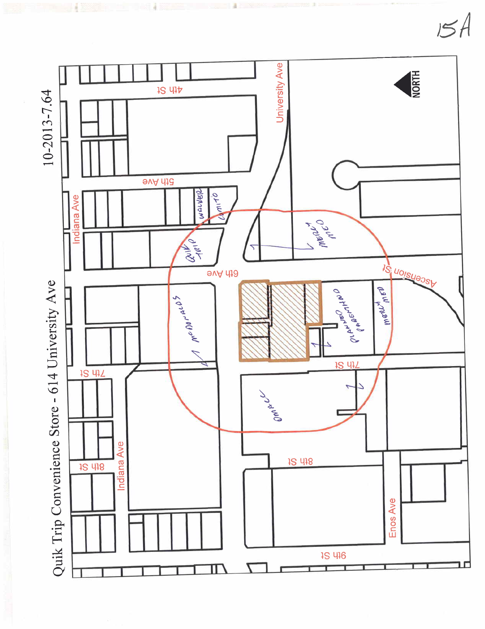

 $15A$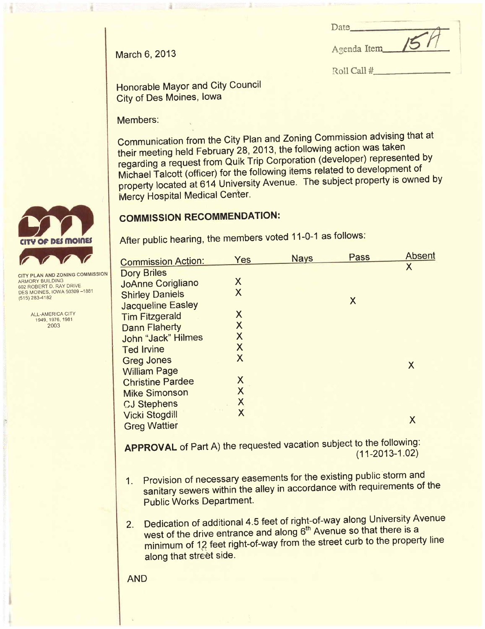|               | Date             |  |
|---------------|------------------|--|
| March 6, 2013 | Agenda Item 15 / |  |

Roll Call #

Honorable Mayor and City Council City of Des Moines, Iowa

Members:

Communication from the City Plan and Zoning Commission advising that at their meeting held February 28, 2013, the following action was taken regarding a request from Quik Trip Corporation (developer) represented by Michael Talcott (officer) for the following items related to development of property located at 614 University Avenue. The subject property is owned by **Mercy Hospital Medical Center.** 

### COMMISSION RECOMMENDATION:

After public hearing, the members voted 11-0-1 as follows:

| <b>Commission Action:</b> | Yes                       | <b>Nays</b> | Pass | <b>Absent</b> |
|---------------------------|---------------------------|-------------|------|---------------|
| <b>Dory Briles</b>        |                           |             |      | Χ             |
| <b>JoAnne Corigliano</b>  | X                         |             |      |               |
| <b>Shirley Daniels</b>    | X                         |             |      |               |
| <b>Jacqueline Easley</b>  |                           |             | X    |               |
| <b>Tim Fitzgerald</b>     | X                         |             |      |               |
| <b>Dann Flaherty</b>      | X                         |             |      |               |
| John "Jack" Hilmes        | X                         |             |      |               |
| <b>Ted Irvine</b>         | $\overline{\mathsf{X}}$   |             |      |               |
| <b>Greg Jones</b>         | $\boldsymbol{\mathsf{X}}$ |             |      |               |
| <b>William Page</b>       |                           |             |      | X             |
| <b>Christine Pardee</b>   | X                         |             |      |               |
| <b>Mike Simonson</b>      | X                         |             |      |               |
| <b>CJ Stephens</b>        | X                         |             |      |               |
| <b>Vicki Stogdill</b>     | X                         |             |      |               |
| <b>Greg Wattier</b>       |                           |             |      |               |
|                           |                           |             |      |               |

APPROVAL of Part A) the requested vacation subject to the following: (11-2013-1.02)

- 1. Provision of necessary easements for the existing public storm and sanitary sewers within the alley in accordance with requirements of the Public Works Department.
- 2. Dedication of additional 4.5 feet of right-of-way along University Avenue<br>west of the drive entrance and along 6<sup>th</sup> Avenue so that there is a west of the drive entrance and along 6<sup>th</sup> Avenue so that there is a minimum of  $12$  feet right-of-way from the street curb to the property line along that street side.



ARMORY BUILDING 602 ROBERT D. RAY DRIVE DES MOINES, IOWA 50309 -1881 (515) 283-4182

ALL-AMERICA CITY 1949,1976,1981 2003

 $^{\circ}$ 

AND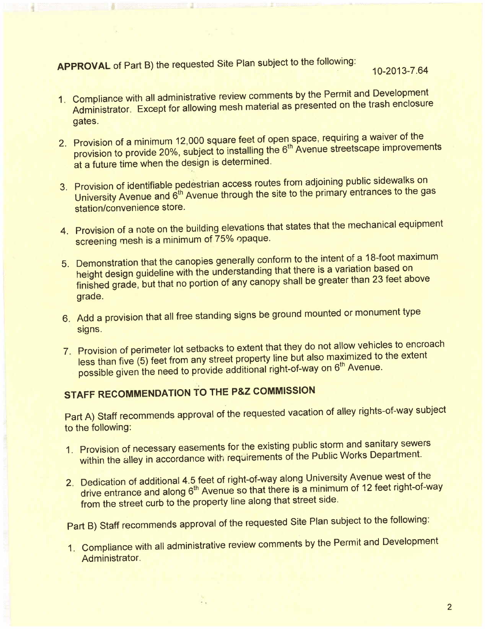APPROVAL of Part B) the requested Site Plan subject to the following:<br>10-2013-7.64

- 1. Compliance with all administrative review comments by the Permit and Development Administrator. Except for allowing mesh material as presented on the trash enclosure gates.
- 2. Provision of a minimum 12,000 square feet of open space, requiring a waiver provision to provide 20%, subject to installing the 6th Avenue streetscape improvements at a future time when the design is determined.
- 3. Provision of identifiable pedèstrian access routes from adjoining public sidewalks on University Avenue and 6<sup>th</sup> Avenue through the site to the primary entrances to the gas station/convenience store.
- 4. Provision of a note on the building elevations that states that the mechanical equipment screening mesh is a minimum of 75% opaque.
- 5. Demonstration that the canopies generally conform to the intent of a 18-foot maximum height design guideline with the understanding that there is a variation based on finished grade, but that no portion of any canopy shall be greater than 23 feet all by grade.
- 6. Add a provision that all free standing signs be ground mounted or monument type signs.
- 7. Provision of perimeter lot setbacks to extent that they do not allow vehicles to encroach less than five (5) feet from any street property line but also maximized to the extent possible given the need to provide additional right-of-way on 6<sup>th</sup> Avenue.

# **STAFF RECOMMENDATION TO THE P&Z COMMISSION**

Ξ,

Part A) Staff recommends approval of the requested vacation of alley rights-of-way subject to the following:

- 1. Provision of necessary easements for the existing public storm and sanitary sewers within the alley in accordance with requirements of the Public Works Department.
- 2. Dedication of additional 4.5 feet of right-of-way along University Avenue west of the drive entrance and along 6<sup>th</sup> Avenue so that there is a minimum of 12 feet right-of-way from the street curb to the property line along that street side.

Part B) Staff recommends approval of the requested Site Plan subject to the following:

1. Compliance with all administrative review comments by the Permit and Development Administrator.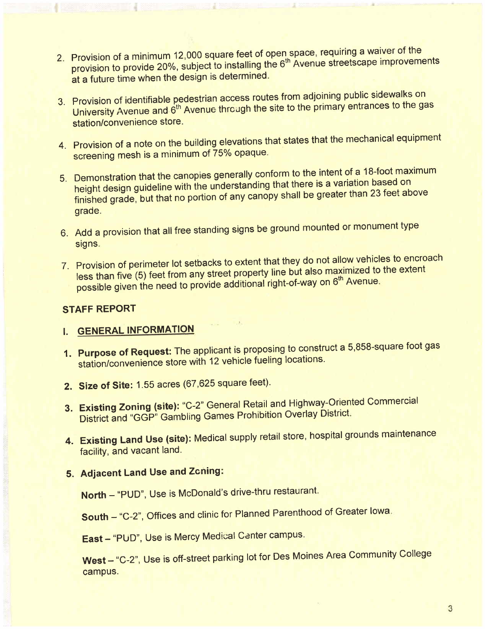- 2. Provision of a minimum 12,000 square feet of open space, requiring a ward of the streets cane improvement provision to provide 20%, subject to installing the 6th Avenue streets provide improvements. at a future time when the design is determined.
- 3. Provision of identifiable pedestrian access routes from adjoining public side was applied to the disc in the minimary entrances to the d University Avenue and 6th Avenue through the site to the primary entrances to the gas station/convenience store.
- 4. Provision of a note on the building elevations that states that the mechanical equipment screening mesh is a minimum of 75% opaque.
- 5. Demonstration that the canopies generally conform to the intent of a 18-foot maximum height design guideline with the understanding that there is a variation based of finished grade, but that no portion of any canopy shall be greater than 23 feet grade.
- 6. Add a provision that all free standing signs be ground mounted or monument type signs.
- 7. Provision of perimeter lot selbacks to exterit that they do not allow the extent  $\epsilon$  less than five (5) feet from any street property line but also maximized to the extent of the extent of the extent of the extent of the extent of the extent of the extent of the extent of the extent of the extent of possible given the need to provide additional right-of-way on 6<sup>th</sup> Avenue.

#### STAFF REPORT

## i. GENERAL INFORMATION

- 1. Purpose of Request: The applicant is proposing to construct a 5,858-square foot gas station/convenience store with 12 vehicle fueling locations.
- 2. Size of Site: 1.55 acres (67,625 square feet).
- 3. Existing Zoning (site): "C-2" General Retail and Highway-Oriented Commercial District and "GGP" Gambling Games Prohibition Overlay District.
- 4. Existing Land Use (site): Medical supply retail store, hospital grounds maintenance facility, and vacant land.

## 5. Adjacent Land Use and Zcning:

North - "PUD", Use is McDonald's drive-thru restaurant.

South - "C-2", Offices and clinic for Planned Parenthood of Greater Iowa.

East - "PUD", Use is Mercy Medical Center campus.

West - "C-2", Use is off-street parking lot for Des Moines Area Community College campus.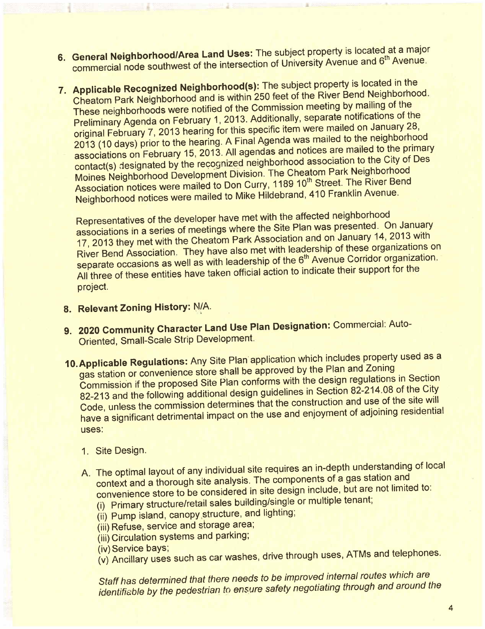- 6. General Neighborhood/Area Land Uses. The subject property is received at a major strength and  $6<sup>th</sup>$  Avenue. commercial node southwest of the intersection of University Attended
- 7. Applicable Recognized Neighborhood(s): The subject property is located in the subject property is located in the subject property is located in the subject of the River Bend Neighborho Cheatom Park Neighborhood and is within 250 feet of the River Bend Neighborhood. These neighborhoods were notified of the Commission meeting by mailing of the<br>Preliminary Agenda on February 1, 2013. Additionally, separate notifications of the original February 7, 2013 hearing for this specific item were mailed on January 28, 2013 (10 days) prior to the hearing. A Final Agenda was mailed to the neighborhood associations on February 15, 2013. All agendas and notices are mailed to the primary contact(s) designated by the recognized neighborhood association to the City of Des Moines Neighborhood Development Division. The Cheatom Park Neighborhood Moines Neighborhood Development Division. The Cheatom Pain Neighborhood Development Division. The Park Neighborhood Association notices were mailed to Don Curry, They to Buccil, The River Bend<br>Curry. The River Bender Street is the River Bildebrand, 410 Franklin Avenue. Neighborhood notices were mailed to Mike Hildebrand, 410 Franklin Avenue.

Representatives of the developer have met with the anseted neighborhood. associations in a series of meetings where the Site Plan was presented. 2013 with 17, 2013 they met with the Cheatom Park Association and on January 14, 2013 with<br>River Bend Association. They have also met with leadership of these organizations on separate occasions as well as with leadership of the 6<sup>th</sup> Avenue Corridor organization. separate occasions as well as with leadership of the 6th Avenue Correction for the All three of these entities have taken official action to indicate their support project.

- 8. Relevant Zoning History: N/A.
- 9. 2020 Community Character Land Use Plan Designation: Commercial: Auto-Oriented, Small-Scale Strip Development.
- 10. Applicable Regulations: Any Site Plan application which includes property used as a gas station or convenience store shall be approved by the Plan and Zoning<br>Commission if the proposed Site Plan conforms with the design regulations in Section  $82-213$  and the following additional design guidelines in Section 82-214.08 of the City Code, unless the commission determines that the construction and use of the site will Code, unless the commission determines that the construction and use of the sidentihave a significant detrimental impact on the use and enjoyment of adjoining uses:
	- 1. Site Design.
	- A. The optimal layout of any individual site requires an in-depth understanding of local context and a thorough site analysis. The components of a gas station and convenience store to be considered in site design include, but are not limited to:<br>(i) Primary structure/retail sales building/single or multiple tenant;
		-
		- $($ i) Primary structure/retailed sales building or multiple tensors building. (ii) Pump island, canopy structure, and lighting;
		- (iii) Refuse, service and storage area;
		- (iii) Circulation systems and parking;<br>(iv) Service bays;
		- (iv) Service bays;
		- (v) Ancillary uses such as car washes, drive through uses,  $\frac{1}{\sqrt{2}}$

Staff has determined that there needs to be improved internal reated internal identifiable by the pedestrian to ensure safety negotiating through and around the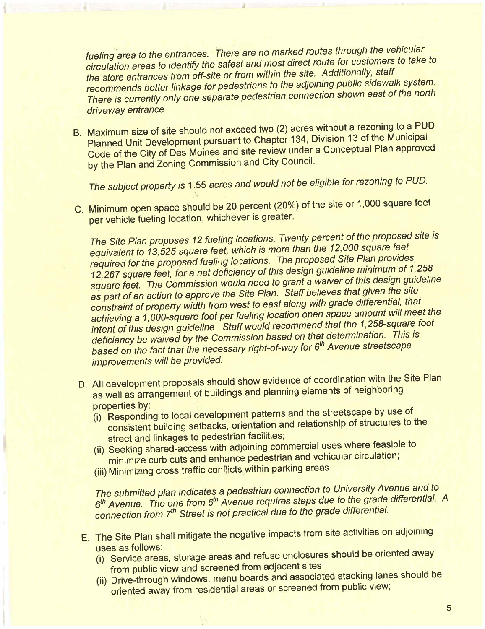fueling area to the entrances. There are no marked routes an eagle are vehicles circulation areas to identify the safest and most direct route for customers to the circulation areas to identify the store entrances from off-site or from within the site. Additionally, staff<br>recommends better linkage for pedestrians to the adjoining public sidewalk system. recommends better linkage for pedestrians to the adjoining public station. The north There is currently only one separate pedestrian connection shown east of the north driveway entrance.

B. Maximum size of site should not exceed two  $\langle z \rangle$  acres without a reconnig to a PUD B. Planned Unit Development pursuant to Chapter 134, Division 13 of the Municipal Code of the City of Des Moines and site review under a Conceptual Plan approved by the Plan and Zoning Commission and City Council.

The subject property is 1.55 acres and would not be eligible for rezoning to PUD.

C. Minimum open space should be 20 percent (20%) of the site or 1,000 square feet per vehicle fueling location, whichever is greater.

The Site Plan proposes 12 fueling locations. Twenty percent of the proposed site is equivalent to 13,525 square feet, which is more than the 12,000 square feet<br>required for the proposed fueling locations. The proposed Site Plan provides, required for the proposed fueling locations. The proposed Site Plan provides, 12,267 square feet, for a net deficiency of this design guideline minimum of 1,258 square feet. The Commission would need to grant a waiver of this design guideline as part of an action to approve the Site Plan. Staff believes that given the site<br>constraint of property width from west to east along with grade differential, that constraint of property width from west to east along with grade differential, that achieving a 1,000-square foot per fueling location open space amount will meet the intent of this design guideline. Staff would recommend that the 1,258-square foot<br>deficiency be waived by the Commission based on that determination. This is deficiency be waived by the Commission based on that determination. This is based on the fact that the necessary right-of-way for 6th Avenue streetscape improvements will be provided.

- D. All development proposals should show evidence of coordination with the Site Plan as well as arrangement of buildings and planning elements of neighboring
	- (i) Responding to local development patterns and the streetscape by use of (i) Responding to local development patterns and the streetscape by use of the structures to
	- consistent building setbacks, orientation and relationship of structures to the street and linkages to pedestrian facilities;<br>(ii) Seeking shared-access with adjoining commercial uses where feasible to
	- (ii) Seeking shared-access with adjoining commercial uses where first lation minimize curb cuts and enhance pedestrian and vehicular circulation;
	- (iii) Minimizing cross traffic conflicts within parking areas.

The submitted plan indicates a pedestrian connection to University Avenue and to  $6<sup>th</sup>$  Avenue. The one from  $6<sup>th</sup>$  Avenue requires steps due to the grade differential. A connection from 7<sup>th</sup> Street is not practical due to the grade differential.

- E. The Site Plan shall mitigate the negative impacts from site activities on adjoining uses as follows:
	- (i) Service areas, storage areas and refuse enclosured should be oriented and the oriented areas of the oriented and away of the state of the state of the state and the state of the state of the state of the state of the s from public view and screened from adjacent sites;<br>(ii) Drive-through windows, menu boards and associated stacking lanes should be
	- (ii) Drive-through windows, menu boards and associated stating in the showledge of the showledge of second from public view. oriented away from residential areas or screened from public view;